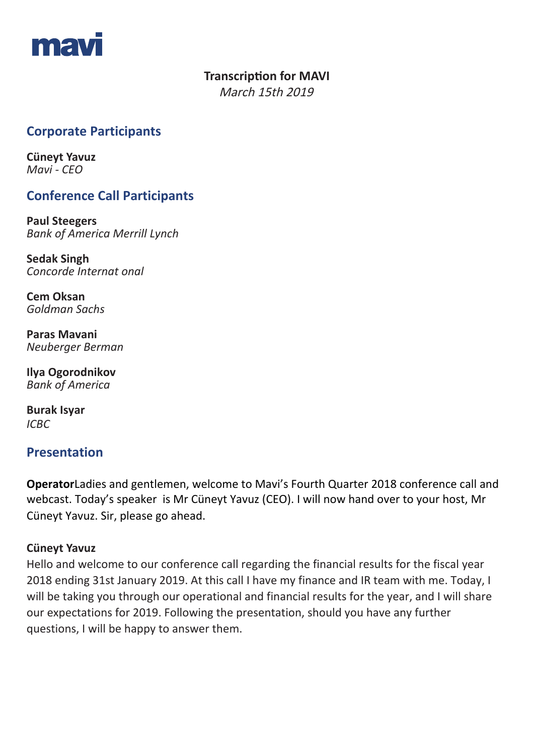

## **Transcription for MAVI**

March 15th 2019

# **Corporate Participants**

**Cüneyt Yavuz**  *Mavi - CEO*

# **Conference Call Participants**

**Paul Steegers** *Bank of America Merrill Lynch*

**Sedak Singh** *Concorde Internat onal*

**Cem Oksan** *Goldman Sachs* 

**Paras Mavani** *Neuberger Berman*

**Ilya Ogorodnikov** *Bank of America* 

**Burak Isyar** *ICBC*

## **Presentation**

**Operator**Ladies and gentlemen, welcome to Mavi's Fourth Quarter 2018 conference call and webcast. Today's speaker is Mr Cüneyt Yavuz (CEO). I will now hand over to your host, Mr Cüneyt Yavuz. Sir, please go ahead.

## **Cüneyt Yavuz**

Hello and welcome to our conference call regarding the financial results for the fiscal year 2018 ending 31st January 2019. At this call I have my finance and IR team with me. Today, I will be taking you through our operational and financial results for the year, and I will share our expectations for 2019. Following the presentation, should you have any further questions, I will be happy to answer them.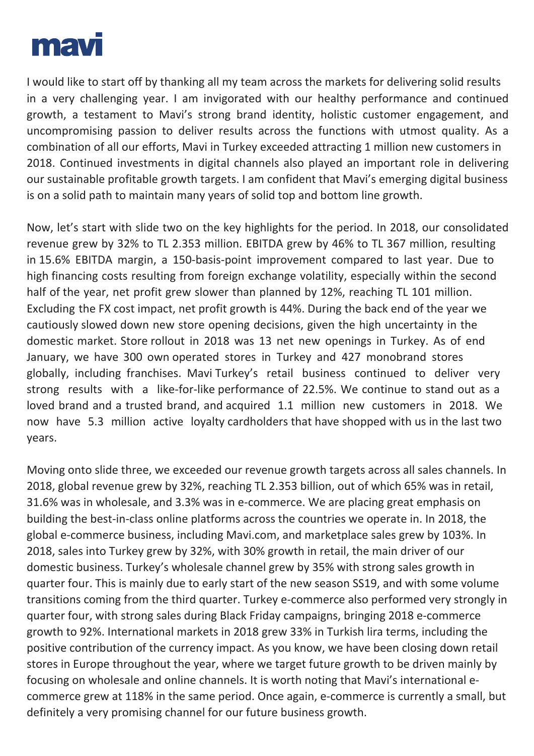

I would like to start off by thanking all my team across the markets for delivering solid results in a very challenging year. I am invigorated with our healthy performance and continued growth, a testament to Mavi's strong brand identity, holistic customer engagement, and uncompromising passion to deliver results across the functions with utmost quality. As a combination of all our efforts, Mavi in Turkey exceeded attracting 1 million new customers in 2018. Continued investments in digital channels also played an important role in delivering our sustainable profitable growth targets. I am confident that Mavi's emerging digital business is on a solid path to maintain many years of solid top and bottom line growth.

Now, let's start with slide two on the key highlights for the period. In 2018, our consolidated revenue grew by 32% to TL 2.353 million. EBITDA grew by 46% to TL 367 million, resulting in 15.6% EBITDA margin, a 150-basis-point improvement compared to last year. Due to high financing costs resulting from foreign exchange volatility, especially within the second half of the year, net profit grew slower than planned by 12%, reaching TL 101 million. Excluding the FX cost impact, net profit growth is 44%. During the back end of the year we cautiously slowed down new store opening decisions, given the high uncertainty in the domestic market. Store rollout in 2018 was 13 net new openings in Turkey. As of end January, we have 300 own operated stores in Turkey and 427 monobrand stores globally, including franchises. Mavi Turkey's retail business continued to deliver very strong results with a like-for-like performance of 22.5%. We continue to stand out as a loved brand and a trusted brand, and acquired 1.1 million new customers in 2018. We now have 5.3 million active loyalty cardholders that have shopped with us in the last two years.

Moving onto slide three, we exceeded our revenue growth targets across all sales channels. In 2018, global revenue grew by 32%, reaching TL 2.353 billion, out of which 65% was in retail, 31.6% was in wholesale, and 3.3% was in e-commerce. We are placing great emphasis on building the best-in-class online platforms across the countries we operate in. In 2018, the global e-commerce business, including Mavi.com, and marketplace sales grew by 103%. In 2018, sales into Turkey grew by 32%, with 30% growth in retail, the main driver of our domestic business. Turkey's wholesale channel grew by 35% with strong sales growth in quarter four. This is mainly due to early start of the new season SS19, and with some volume transitions coming from the third quarter. Turkey e-commerce also performed very strongly in quarter four, with strong sales during Black Friday campaigns, bringing 2018 e-commerce growth to 92%. International markets in 2018 grew 33% in Turkish lira terms, including the positive contribution of the currency impact. As you know, we have been closing down retail stores in Europe throughout the year, where we target future growth to be driven mainly by focusing on wholesale and online channels. It is worth noting that Mavi's international ecommerce grew at 118% in the same period. Once again, e-commerce is currently a small, but definitely a very promising channel for our future business growth.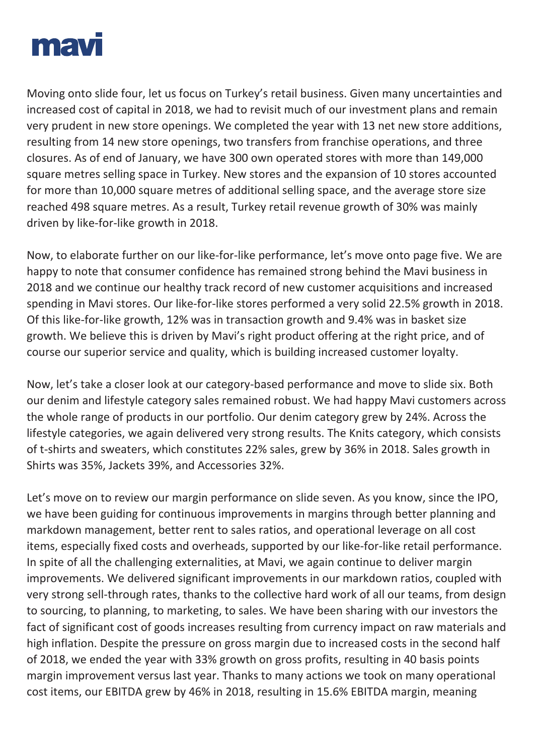

Moving onto slide four, let us focus on Turkey's retail business. Given many uncertainties and increased cost of capital in 2018, we had to revisit much of our investment plans and remain very prudent in new store openings. We completed the year with 13 net new store additions, resulting from 14 new store openings, two transfers from franchise operations, and three closures. As of end of January, we have 300 own operated stores with more than 149,000 square metres selling space in Turkey. New stores and the expansion of 10 stores accounted for more than 10,000 square metres of additional selling space, and the average store size reached 498 square metres. As a result, Turkey retail revenue growth of 30% was mainly driven by like-for-like growth in 2018.

Now, to elaborate further on our like-for-like performance, let's move onto page five. We are happy to note that consumer confidence has remained strong behind the Mavi business in 2018 and we continue our healthy track record of new customer acquisitions and increased spending in Mavi stores. Our like-for-like stores performed a very solid 22.5% growth in 2018. Of this like-for-like growth, 12% was in transaction growth and 9.4% was in basket size growth. We believe this is driven by Mavi's right product offering at the right price, and of course our superior service and quality, which is building increased customer loyalty.

Now, let's take a closer look at our category-based performance and move to slide six. Both our denim and lifestyle category sales remained robust. We had happy Mavi customers across the whole range of products in our portfolio. Our denim category grew by 24%. Across the lifestyle categories, we again delivered very strong results. The Knits category, which consists of t-shirts and sweaters, which constitutes 22% sales, grew by 36% in 2018. Sales growth in Shirts was 35%, Jackets 39%, and Accessories 32%.

Let's move on to review our margin performance on slide seven. As you know, since the IPO, we have been guiding for continuous improvements in margins through better planning and markdown management, better rent to sales ratios, and operational leverage on all cost items, especially fixed costs and overheads, supported by our like-for-like retail performance. In spite of all the challenging externalities, at Mavi, we again continue to deliver margin improvements. We delivered significant improvements in our markdown ratios, coupled with very strong sell-through rates, thanks to the collective hard work of all our teams, from design to sourcing, to planning, to marketing, to sales. We have been sharing with our investors the fact of significant cost of goods increases resulting from currency impact on raw materials and high inflation. Despite the pressure on gross margin due to increased costs in the second half of 2018, we ended the year with 33% growth on gross profits, resulting in 40 basis points margin improvement versus last year. Thanks to many actions we took on many operational cost items, our EBITDA grew by 46% in 2018, resulting in 15.6% EBITDA margin, meaning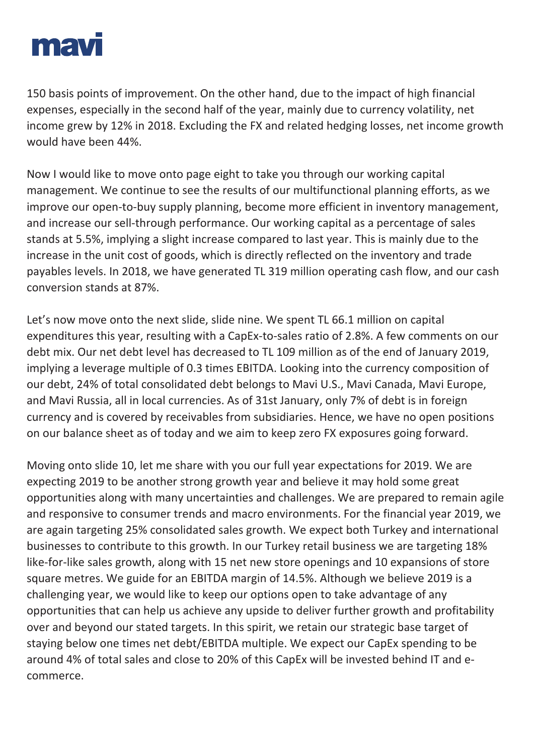

150 basis points of improvement. On the other hand, due to the impact of high financial expenses, especially in the second half of the year, mainly due to currency volatility, net income grew by 12% in 2018. Excluding the FX and related hedging losses, net income growth would have been 44%.

Now I would like to move onto page eight to take you through our working capital management. We continue to see the results of our multifunctional planning efforts, as we improve our open-to-buy supply planning, become more efficient in inventory management, and increase our sell-through performance. Our working capital as a percentage of sales stands at 5.5%, implying a slight increase compared to last year. This is mainly due to the increase in the unit cost of goods, which is directly reflected on the inventory and trade payables levels. In 2018, we have generated TL 319 million operating cash flow, and our cash conversion stands at 87%.

Let's now move onto the next slide, slide nine. We spent TL 66.1 million on capital expenditures this year, resulting with a CapEx-to-sales ratio of 2.8%. A few comments on our debt mix. Our net debt level has decreased to TL 109 million as of the end of January 2019, implying a leverage multiple of 0.3 times EBITDA. Looking into the currency composition of our debt, 24% of total consolidated debt belongs to Mavi U.S., Mavi Canada, Mavi Europe, and Mavi Russia, all in local currencies. As of 31st January, only 7% of debt is in foreign currency and is covered by receivables from subsidiaries. Hence, we have no open positions on our balance sheet as of today and we aim to keep zero FX exposures going forward.

Moving onto slide 10, let me share with you our full year expectations for 2019. We are expecting 2019 to be another strong growth year and believe it may hold some great opportunities along with many uncertainties and challenges. We are prepared to remain agile and responsive to consumer trends and macro environments. For the financial year 2019, we are again targeting 25% consolidated sales growth. We expect both Turkey and international businesses to contribute to this growth. In our Turkey retail business we are targeting 18% like-for-like sales growth, along with 15 net new store openings and 10 expansions of store square metres. We guide for an EBITDA margin of 14.5%. Although we believe 2019 is a challenging year, we would like to keep our options open to take advantage of any opportunities that can help us achieve any upside to deliver further growth and profitability over and beyond our stated targets. In this spirit, we retain our strategic base target of staying below one times net debt/EBITDA multiple. We expect our CapEx spending to be around 4% of total sales and close to 20% of this CapEx will be invested behind IT and ecommerce.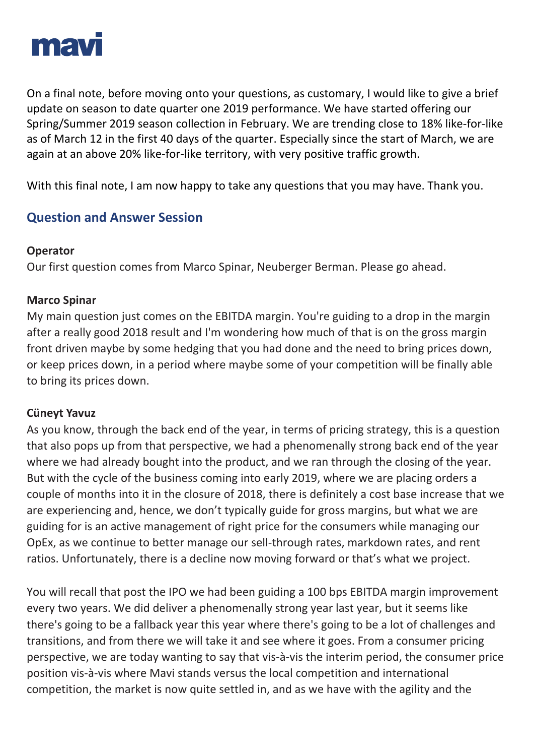

On a final note, before moving onto your questions, as customary, I would like to give a brief update on season to date quarter one 2019 performance. We have started offering our Spring/Summer 2019 season collection in February. We are trending close to 18% like-for-like as of March 12 in the first 40 days of the quarter. Especially since the start of March, we are again at an above 20% like-for-like territory, with very positive traffic growth.

With this final note, I am now happy to take any questions that you may have. Thank you.

# **Question and Answer Session**

#### **Operator**

Our first question comes from Marco Spinar, Neuberger Berman. Please go ahead.

#### **Marco Spinar**

My main question just comes on the EBITDA margin. You're guiding to a drop in the margin after a really good 2018 result and I'm wondering how much of that is on the gross margin front driven maybe by some hedging that you had done and the need to bring prices down, or keep prices down, in a period where maybe some of your competition will be finally able to bring its prices down.

## **Cüneyt Yavuz**

As you know, through the back end of the year, in terms of pricing strategy, this is a question that also pops up from that perspective, we had a phenomenally strong back end of the year where we had already bought into the product, and we ran through the closing of the year. But with the cycle of the business coming into early 2019, where we are placing orders a couple of months into it in the closure of 2018, there is definitely a cost base increase that we are experiencing and, hence, we don't typically guide for gross margins, but what we are guiding for is an active management of right price for the consumers while managing our OpEx, as we continue to better manage our sell-through rates, markdown rates, and rent ratios. Unfortunately, there is a decline now moving forward or that's what we project.

You will recall that post the IPO we had been guiding a 100 bps EBITDA margin improvement every two years. We did deliver a phenomenally strong year last year, but it seems like there's going to be a fallback year this year where there's going to be a lot of challenges and transitions, and from there we will take it and see where it goes. From a consumer pricing perspective, we are today wanting to say that vis-à-vis the interim period, the consumer price position vis-à-vis where Mavi stands versus the local competition and international competition, the market is now quite settled in, and as we have with the agility and the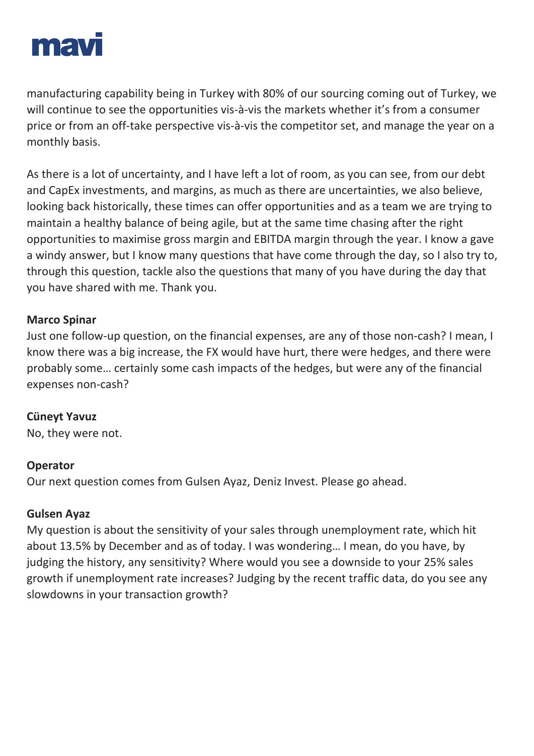

manufacturing capability being in Turkey with 80% of our sourcing coming out of Turkey, we will continue to see the opportunities vis-à-vis the markets whether it's from a consumer price or from an off-take perspective vis-à-vis the competitor set, and manage the year on a monthly basis.

As there is a lot of uncertainty, and I have left a lot of room, as you can see, from our debt and CapEx investments, and margins, as much as there are uncertainties, we also believe, looking back historically, these times can offer opportunities and as a team we are trying to maintain a healthy balance of being agile, but at the same time chasing after the right opportunities to maximise gross margin and EBITDA margin through the year. I know a gave a windy answer, but I know many questions that have come through the day, so I also try to, through this question, tackle also the questions that many of you have during the day that you have shared with me. Thank you.

#### **Marco Spinar**

Just one follow-up question, on the financial expenses, are any of those non-cash? I mean, I know there was a big increase, the FX would have hurt, there were hedges, and there were probably some… certainly some cash impacts of the hedges, but were any of the financial expenses non-cash?

#### **Cüneyt Yavuz**

No, they were not.

#### **Operator**

Our next question comes from Gulsen Ayaz, Deniz Invest. Please go ahead.

#### **Gulsen Ayaz**

My question is about the sensitivity of your sales through unemployment rate, which hit about 13.5% by December and as of today. I was wondering… I mean, do you have, by judging the history, any sensitivity? Where would you see a downside to your 25% sales growth if unemployment rate increases? Judging by the recent traffic data, do you see any slowdowns in your transaction growth?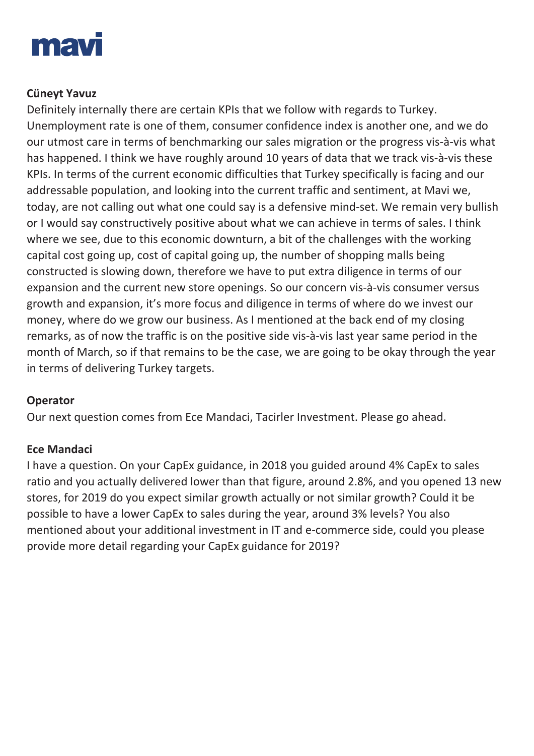

## **Cüneyt Yavuz**

Definitely internally there are certain KPIs that we follow with regards to Turkey. Unemployment rate is one of them, consumer confidence index is another one, and we do our utmost care in terms of benchmarking our sales migration or the progress vis-à-vis what has happened. I think we have roughly around 10 years of data that we track vis-à-vis these KPIs. In terms of the current economic difficulties that Turkey specifically is facing and our addressable population, and looking into the current traffic and sentiment, at Mavi we, today, are not calling out what one could say is a defensive mind-set. We remain very bullish or I would say constructively positive about what we can achieve in terms of sales. I think where we see, due to this economic downturn, a bit of the challenges with the working capital cost going up, cost of capital going up, the number of shopping malls being constructed is slowing down, therefore we have to put extra diligence in terms of our expansion and the current new store openings. So our concern vis-à-vis consumer versus growth and expansion, it's more focus and diligence in terms of where do we invest our money, where do we grow our business. As I mentioned at the back end of my closing remarks, as of now the traffic is on the positive side vis-à-vis last year same period in the month of March, so if that remains to be the case, we are going to be okay through the year in terms of delivering Turkey targets.

## **Operator**

Our next question comes from Ece Mandaci, Tacirler Investment. Please go ahead.

## **Ece Mandaci**

I have a question. On your CapEx guidance, in 2018 you guided around 4% CapEx to sales ratio and you actually delivered lower than that figure, around 2.8%, and you opened 13 new stores, for 2019 do you expect similar growth actually or not similar growth? Could it be possible to have a lower CapEx to sales during the year, around 3% levels? You also mentioned about your additional investment in IT and e-commerce side, could you please provide more detail regarding your CapEx guidance for 2019?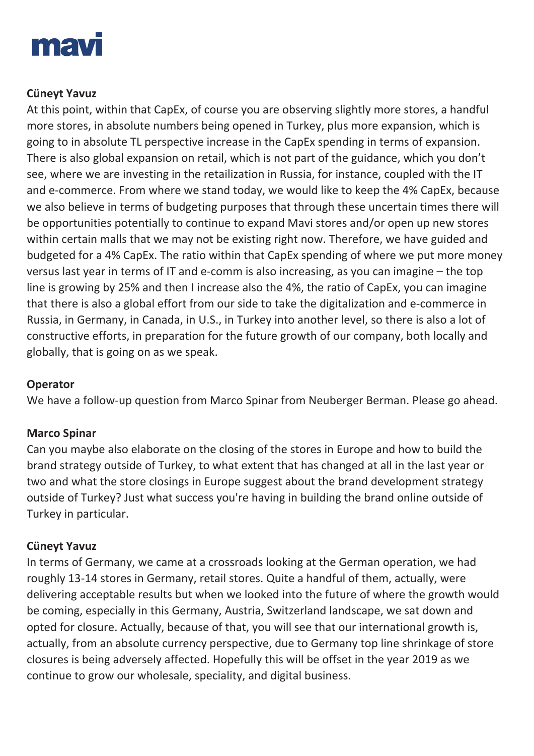

## **Cüneyt Yavuz**

At this point, within that CapEx, of course you are observing slightly more stores, a handful more stores, in absolute numbers being opened in Turkey, plus more expansion, which is going to in absolute TL perspective increase in the CapEx spending in terms of expansion. There is also global expansion on retail, which is not part of the guidance, which you don't see, where we are investing in the retailization in Russia, for instance, coupled with the IT and e-commerce. From where we stand today, we would like to keep the 4% CapEx, because we also believe in terms of budgeting purposes that through these uncertain times there will be opportunities potentially to continue to expand Mavi stores and/or open up new stores within certain malls that we may not be existing right now. Therefore, we have guided and budgeted for a 4% CapEx. The ratio within that CapEx spending of where we put more money versus last year in terms of IT and e-comm is also increasing, as you can imagine – the top line is growing by 25% and then I increase also the 4%, the ratio of CapEx, you can imagine that there is also a global effort from our side to take the digitalization and e-commerce in Russia, in Germany, in Canada, in U.S., in Turkey into another level, so there is also a lot of constructive efforts, in preparation for the future growth of our company, both locally and globally, that is going on as we speak.

#### **Operator**

We have a follow-up question from Marco Spinar from Neuberger Berman. Please go ahead.

## **Marco Spinar**

Can you maybe also elaborate on the closing of the stores in Europe and how to build the brand strategy outside of Turkey, to what extent that has changed at all in the last year or two and what the store closings in Europe suggest about the brand development strategy outside of Turkey? Just what success you're having in building the brand online outside of Turkey in particular.

## **Cüneyt Yavuz**

In terms of Germany, we came at a crossroads looking at the German operation, we had roughly 13-14 stores in Germany, retail stores. Quite a handful of them, actually, were delivering acceptable results but when we looked into the future of where the growth would be coming, especially in this Germany, Austria, Switzerland landscape, we sat down and opted for closure. Actually, because of that, you will see that our international growth is, actually, from an absolute currency perspective, due to Germany top line shrinkage of store closures is being adversely affected. Hopefully this will be offset in the year 2019 as we continue to grow our wholesale, speciality, and digital business.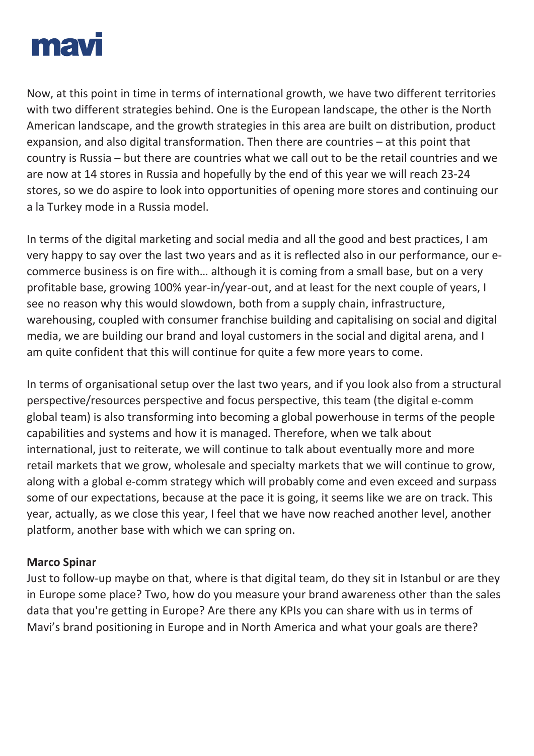

Now, at this point in time in terms of international growth, we have two different territories with two different strategies behind. One is the European landscape, the other is the North American landscape, and the growth strategies in this area are built on distribution, product expansion, and also digital transformation. Then there are countries – at this point that country is Russia – but there are countries what we call out to be the retail countries and we are now at 14 stores in Russia and hopefully by the end of this year we will reach 23-24 stores, so we do aspire to look into opportunities of opening more stores and continuing our a la Turkey mode in a Russia model.

In terms of the digital marketing and social media and all the good and best practices, I am very happy to say over the last two years and as it is reflected also in our performance, our ecommerce business is on fire with… although it is coming from a small base, but on a very profitable base, growing 100% year-in/year-out, and at least for the next couple of years, I see no reason why this would slowdown, both from a supply chain, infrastructure, warehousing, coupled with consumer franchise building and capitalising on social and digital media, we are building our brand and loyal customers in the social and digital arena, and I am quite confident that this will continue for quite a few more years to come.

In terms of organisational setup over the last two years, and if you look also from a structural perspective/resources perspective and focus perspective, this team (the digital e-comm global team) is also transforming into becoming a global powerhouse in terms of the people capabilities and systems and how it is managed. Therefore, when we talk about international, just to reiterate, we will continue to talk about eventually more and more retail markets that we grow, wholesale and specialty markets that we will continue to grow, along with a global e-comm strategy which will probably come and even exceed and surpass some of our expectations, because at the pace it is going, it seems like we are on track. This year, actually, as we close this year, I feel that we have now reached another level, another platform, another base with which we can spring on.

#### **Marco Spinar**

Just to follow-up maybe on that, where is that digital team, do they sit in Istanbul or are they in Europe some place? Two, how do you measure your brand awareness other than the sales data that you're getting in Europe? Are there any KPIs you can share with us in terms of Mavi's brand positioning in Europe and in North America and what your goals are there?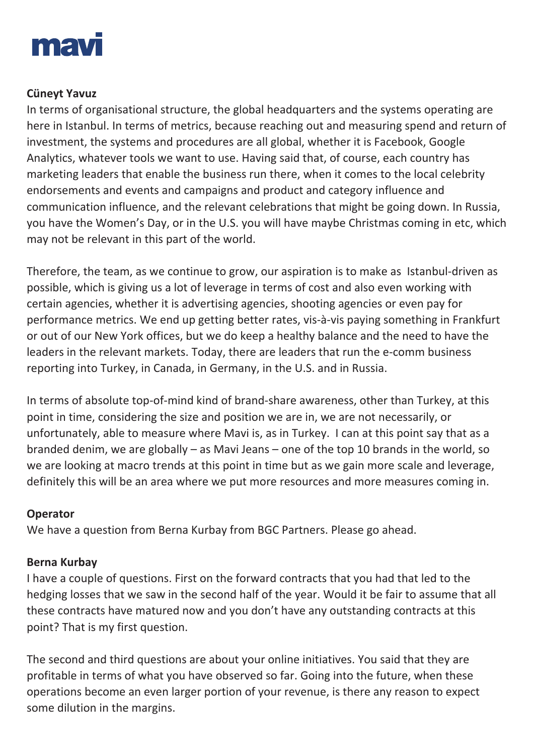

## **Cüneyt Yavuz**

In terms of organisational structure, the global headquarters and the systems operating are here in Istanbul. In terms of metrics, because reaching out and measuring spend and return of investment, the systems and procedures are all global, whether it is Facebook, Google Analytics, whatever tools we want to use. Having said that, of course, each country has marketing leaders that enable the business run there, when it comes to the local celebrity endorsements and events and campaigns and product and category influence and communication influence, and the relevant celebrations that might be going down. In Russia, you have the Women's Day, or in the U.S. you will have maybe Christmas coming in etc, which may not be relevant in this part of the world.

Therefore, the team, as we continue to grow, our aspiration is to make as Istanbul-driven as possible, which is giving us a lot of leverage in terms of cost and also even working with certain agencies, whether it is advertising agencies, shooting agencies or even pay for performance metrics. We end up getting better rates, vis-à-vis paying something in Frankfurt or out of our New York offices, but we do keep a healthy balance and the need to have the leaders in the relevant markets. Today, there are leaders that run the e-comm business reporting into Turkey, in Canada, in Germany, in the U.S. and in Russia.

In terms of absolute top-of-mind kind of brand-share awareness, other than Turkey, at this point in time, considering the size and position we are in, we are not necessarily, or unfortunately, able to measure where Mavi is, as in Turkey. I can at this point say that as a branded denim, we are globally – as Mavi Jeans – one of the top 10 brands in the world, so we are looking at macro trends at this point in time but as we gain more scale and leverage, definitely this will be an area where we put more resources and more measures coming in.

## **Operator**

We have a question from Berna Kurbay from BGC Partners. Please go ahead.

## **Berna Kurbay**

I have a couple of questions. First on the forward contracts that you had that led to the hedging losses that we saw in the second half of the year. Would it be fair to assume that all these contracts have matured now and you don't have any outstanding contracts at this point? That is my first question.

The second and third questions are about your online initiatives. You said that they are profitable in terms of what you have observed so far. Going into the future, when these operations become an even larger portion of your revenue, is there any reason to expect some dilution in the margins.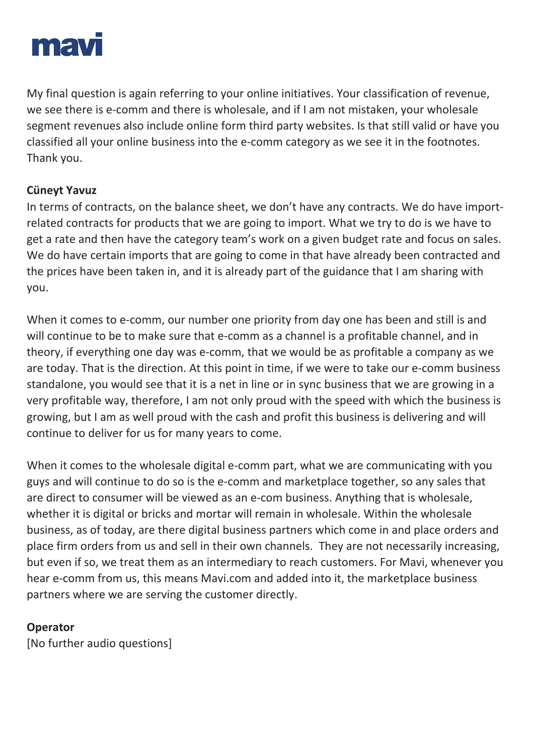

My final question is again referring to your online initiatives. Your classification of revenue, we see there is e-comm and there is wholesale, and if I am not mistaken, your wholesale segment revenues also include online form third party websites. Is that still valid or have you classified all your online business into the e-comm category as we see it in the footnotes. Thank you.

## **Cüneyt Yavuz**

In terms of contracts, on the balance sheet, we don't have any contracts. We do have importrelated contracts for products that we are going to import. What we try to do is we have to get a rate and then have the category team's work on a given budget rate and focus on sales. We do have certain imports that are going to come in that have already been contracted and the prices have been taken in, and it is already part of the guidance that I am sharing with you.

When it comes to e-comm, our number one priority from day one has been and still is and will continue to be to make sure that e-comm as a channel is a profitable channel, and in theory, if everything one day was e-comm, that we would be as profitable a company as we are today. That is the direction. At this point in time, if we were to take our e-comm business standalone, you would see that it is a net in line or in sync business that we are growing in a very profitable way, therefore, I am not only proud with the speed with which the business is growing, but I am as well proud with the cash and profit this business is delivering and will continue to deliver for us for many years to come.

When it comes to the wholesale digital e-comm part, what we are communicating with you guys and will continue to do so is the e-comm and marketplace together, so any sales that are direct to consumer will be viewed as an e-com business. Anything that is wholesale, whether it is digital or bricks and mortar will remain in wholesale. Within the wholesale business, as of today, are there digital business partners which come in and place orders and place firm orders from us and sell in their own channels. They are not necessarily increasing, but even if so, we treat them as an intermediary to reach customers. For Mavi, whenever you hear e-comm from us, this means Mavi.com and added into it, the marketplace business partners where we are serving the customer directly.

#### **Operator**

[No further audio questions]